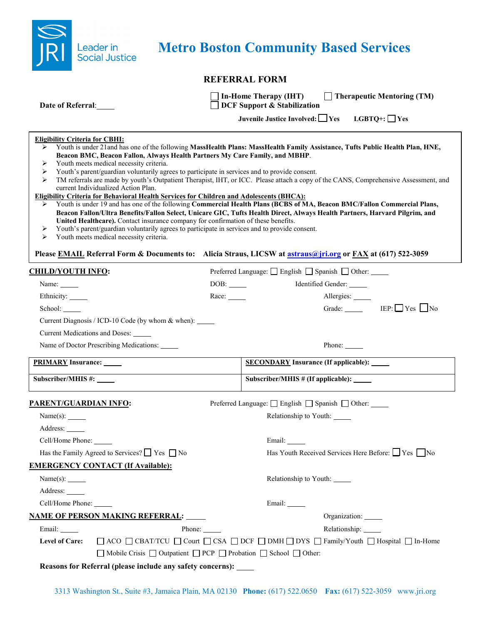

# **Metro Boston Community Based Services**

## **REFERRAL FORM**

|  | <b>Date of Referral:</b> |  |
|--|--------------------------|--|
|  |                          |  |

 $\Box$  **DCF** Support & Stabilization

**In-Home Therapy (IHT) Therapeutic Mentoring (TM)**

**Juvenile Justice Involved: Yes LGBTQ+: Yes**

#### **Eligibility Criteria for CBHI:**

- Youth is under 21and has one of the following **MassHealth Plans: MassHealth Family Assistance, Tufts Public Health Plan, HNE, Beacon BMC, Beacon Fallon, Always Health Partners My Care Family, and MBHP**.
- Youth meets medical necessity criteria.
- Youth's parent/guardian voluntarily agrees to participate in services and to provide consent.
- > TM referrals are made by youth's Outpatient Therapist, IHT, or ICC. Please attach a copy of the CANS, Comprehensive Assessment, and current Individualized Action Plan.

#### **Eligibility Criteria for Behavioral Health Services for Children and Adolescents (BHCA):**

- Youth is under 19 and has one of the following **Commercial Health Plans (BCBS of MA, Beacon BMC/Fallon Commercial Plans, Beacon Fallon/Ultra Benefits/Fallon Select, Unicare GIC, Tufts Health Direct, Always Health Partners, Harvard Pilgrim, and United Healthcare).** Contact insurance company for confirmation of these benefits.
- Youth's parent/guardian voluntarily agrees to participate in services and to provide consent.
- $\triangleright$  Youth meets medical necessity criteria.

### **Please EMAIL Referral Form & Documents to: Alicia Straus, LICSW at [astraus@jri.org](mailto:astraus@jri.org) or FAX at (617) 522-3059**

| <b>CHILD/YOUTH INFO:</b>                                                                       |       | Preferred Language: □ English □ Spanish □ Other:                                                                                       |
|------------------------------------------------------------------------------------------------|-------|----------------------------------------------------------------------------------------------------------------------------------------|
| Name:                                                                                          | DOB:  | Identified Gender:                                                                                                                     |
| Ethnicity: ______                                                                              | Race: | Allergies:                                                                                                                             |
| School:                                                                                        |       | Grade: IEP: Yes No                                                                                                                     |
| Current Diagnosis / ICD-10 Code (by whom & when): _____                                        |       |                                                                                                                                        |
| Current Medications and Doses: _____                                                           |       |                                                                                                                                        |
| Name of Doctor Prescribing Medications: _____                                                  |       | Phone: $\_\_$                                                                                                                          |
| <b>PRIMARY Insurance:</b>                                                                      |       | <b>SECONDARY Insurance (If applicable):</b>                                                                                            |
| Subscriber/MHIS #:                                                                             |       | Subscriber/MHIS # (If applicable): ____                                                                                                |
| PARENT/GUARDIAN INFO:                                                                          |       | Preferred Language: □ English □ Spanish □ Other:                                                                                       |
|                                                                                                |       | Relationship to Youth:                                                                                                                 |
| Address: ______                                                                                |       |                                                                                                                                        |
| Cell/Home Phone: ______                                                                        |       | Email:                                                                                                                                 |
| Has the Family Agreed to Services? $\Box$ Yes $\Box$ No                                        |       | Has Youth Received Services Here Before: Tyes No                                                                                       |
| <b>EMERGENCY CONTACT (If Available):</b>                                                       |       |                                                                                                                                        |
| Name(s):                                                                                       |       | Relationship to Youth:                                                                                                                 |
| Address:                                                                                       |       |                                                                                                                                        |
| Cell/Home Phone: ______                                                                        |       | Email: ______                                                                                                                          |
| <u>NAME OF PERSON MAKING REFERRAL: _____</u>                                                   |       | Organization: ______                                                                                                                   |
| Phone:<br>Email:                                                                               |       | Relationship: ______                                                                                                                   |
| <b>Level of Care:</b>                                                                          |       | $\Box$ ACO $\Box$ CBAT/TCU $\Box$ Court $\Box$ CSA $\Box$ DCF $\Box$ DMH $\Box$ DYS $\Box$ Family/Youth $\Box$ Hospital $\Box$ In-Home |
| $\Box$ Mobile Crisis $\Box$ Outpatient $\Box$ PCP $\Box$ Probation $\Box$ School $\Box$ Other: |       |                                                                                                                                        |
| Reasons for Referral (please include any safety concerns):                                     |       |                                                                                                                                        |